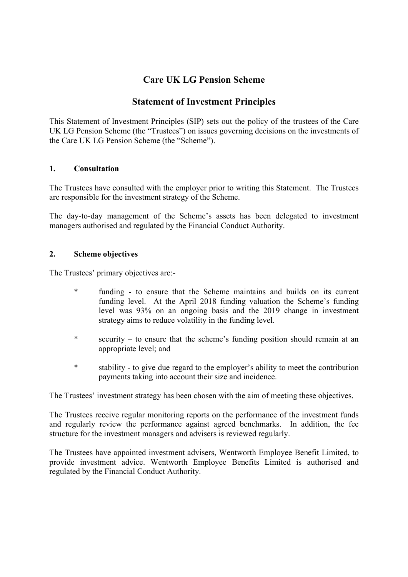# **Care UK LG Pension Scheme**

## **Statement of Investment Principles**

This Statement of Investment Principles (SIP) sets out the policy of the trustees of the Care UK LG Pension Scheme (the "Trustees") on issues governing decisions on the investments of the Care UK LG Pension Scheme (the "Scheme").

#### **1. Consultation**

The Trustees have consulted with the employer prior to writing this Statement. The Trustees are responsible for the investment strategy of the Scheme.

The day-to-day management of the Scheme's assets has been delegated to investment managers authorised and regulated by the Financial Conduct Authority.

#### **2. Scheme objectives**

The Trustees' primary objectives are:-

- funding to ensure that the Scheme maintains and builds on its current funding level. At the April 2018 funding valuation the Scheme's funding level was 93% on an ongoing basis and the 2019 change in investment strategy aims to reduce volatility in the funding level.
- \* security to ensure that the scheme's funding position should remain at an appropriate level; and
- \* stability to give due regard to the employer's ability to meet the contribution payments taking into account their size and incidence.

The Trustees' investment strategy has been chosen with the aim of meeting these objectives.

The Trustees receive regular monitoring reports on the performance of the investment funds and regularly review the performance against agreed benchmarks. In addition, the fee structure for the investment managers and advisers is reviewed regularly.

The Trustees have appointed investment advisers, Wentworth Employee Benefit Limited, to provide investment advice. Wentworth Employee Benefits Limited is authorised and regulated by the Financial Conduct Authority.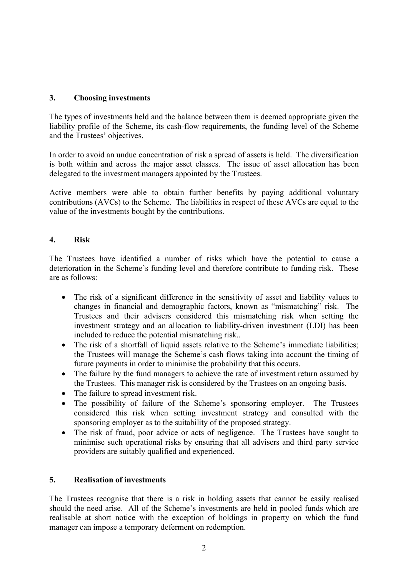## **3. Choosing investments**

The types of investments held and the balance between them is deemed appropriate given the liability profile of the Scheme, its cash-flow requirements, the funding level of the Scheme and the Trustees' objectives.

In order to avoid an undue concentration of risk a spread of assets is held. The diversification is both within and across the major asset classes. The issue of asset allocation has been delegated to the investment managers appointed by the Trustees.

Active members were able to obtain further benefits by paying additional voluntary contributions (AVCs) to the Scheme. The liabilities in respect of these AVCs are equal to the value of the investments bought by the contributions.

## **4. Risk**

The Trustees have identified a number of risks which have the potential to cause a deterioration in the Scheme's funding level and therefore contribute to funding risk. These are as follows:

- The risk of a significant difference in the sensitivity of asset and liability values to changes in financial and demographic factors, known as "mismatching" risk. The Trustees and their advisers considered this mismatching risk when setting the investment strategy and an allocation to liability-driven investment (LDI) has been included to reduce the potential mismatching risk..
- The risk of a shortfall of liquid assets relative to the Scheme's immediate liabilities; the Trustees will manage the Scheme's cash flows taking into account the timing of future payments in order to minimise the probability that this occurs.
- The failure by the fund managers to achieve the rate of investment return assumed by the Trustees. This manager risk is considered by the Trustees on an ongoing basis.
- The failure to spread investment risk.
- The possibility of failure of the Scheme's sponsoring employer. The Trustees considered this risk when setting investment strategy and consulted with the sponsoring employer as to the suitability of the proposed strategy.
- The risk of fraud, poor advice or acts of negligence. The Trustees have sought to minimise such operational risks by ensuring that all advisers and third party service providers are suitably qualified and experienced.

## **5. Realisation of investments**

The Trustees recognise that there is a risk in holding assets that cannot be easily realised should the need arise. All of the Scheme's investments are held in pooled funds which are realisable at short notice with the exception of holdings in property on which the fund manager can impose a temporary deferment on redemption.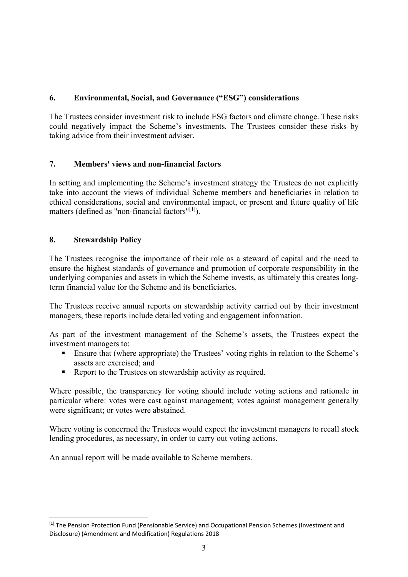## **6. Environmental, Social, and Governance ("ESG") considerations**

The Trustees consider investment risk to include ESG factors and climate change. These risks could negatively impact the Scheme's investments. The Trustees consider these risks by taking advice from their investment adviser.

## **7. Members' views and non-financial factors**

In setting and implementing the Scheme's investment strategy the Trustees do not explicitly take into account the views of individual Scheme members and beneficiaries in relation to ethical considerations, social and environmental impact, or present and future quality of life matters (defined as "non-financial factors"[\[1\]](#page-2-0)).

## **8. Stewardship Policy**

The Trustees recognise the importance of their role as a steward of capital and the need to ensure the highest standards of governance and promotion of corporate responsibility in the underlying companies and assets in which the Scheme invests, as ultimately this creates longterm financial value for the Scheme and its beneficiaries.

The Trustees receive annual reports on stewardship activity carried out by their investment managers, these reports include detailed voting and engagement information.

As part of the investment management of the Scheme's assets, the Trustees expect the investment managers to:

- Ensure that (where appropriate) the Trustees' voting rights in relation to the Scheme's assets are exercised; and
- Report to the Trustees on stewardship activity as required.

Where possible, the transparency for voting should include voting actions and rationale in particular where: votes were cast against management; votes against management generally were significant; or votes were abstained.

Where voting is concerned the Trustees would expect the investment managers to recall stock lending procedures, as necessary, in order to carry out voting actions.

An annual report will be made available to Scheme members.

<span id="page-2-0"></span><sup>[1]</sup> The Pension Protection Fund (Pensionable Service) and Occupational Pension Schemes (Investment and Disclosure) (Amendment and Modification) Regulations 2018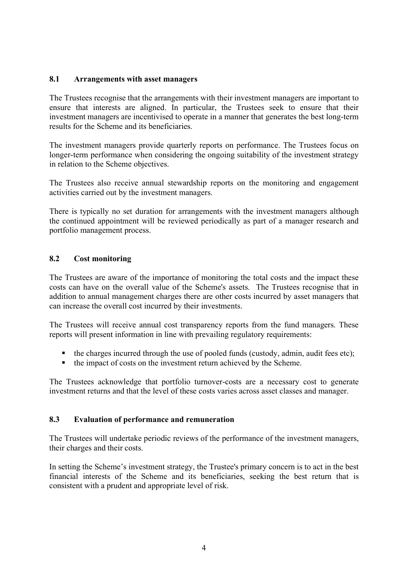#### **8.1 Arrangements with asset managers**

The Trustees recognise that the arrangements with their investment managers are important to ensure that interests are aligned. In particular, the Trustees seek to ensure that their investment managers are incentivised to operate in a manner that generates the best long-term results for the Scheme and its beneficiaries.

The investment managers provide quarterly reports on performance. The Trustees focus on longer-term performance when considering the ongoing suitability of the investment strategy in relation to the Scheme objectives.

The Trustees also receive annual stewardship reports on the monitoring and engagement activities carried out by the investment managers.

There is typically no set duration for arrangements with the investment managers although the continued appointment will be reviewed periodically as part of a manager research and portfolio management process.

## **8.2 Cost monitoring**

The Trustees are aware of the importance of monitoring the total costs and the impact these costs can have on the overall value of the Scheme's assets. The Trustees recognise that in addition to annual management charges there are other costs incurred by asset managers that can increase the overall cost incurred by their investments.

The Trustees will receive annual cost transparency reports from the fund managers. These reports will present information in line with prevailing regulatory requirements:

- $\blacksquare$  the charges incurred through the use of pooled funds (custody, admin, audit fees etc);
- the impact of costs on the investment return achieved by the Scheme.

The Trustees acknowledge that portfolio turnover-costs are a necessary cost to generate investment returns and that the level of these costs varies across asset classes and manager.

#### **8.3 Evaluation of performance and remuneration**

The Trustees will undertake periodic reviews of the performance of the investment managers, their charges and their costs.

In setting the Scheme's investment strategy, the Trustee's primary concern is to act in the best financial interests of the Scheme and its beneficiaries, seeking the best return that is consistent with a prudent and appropriate level of risk.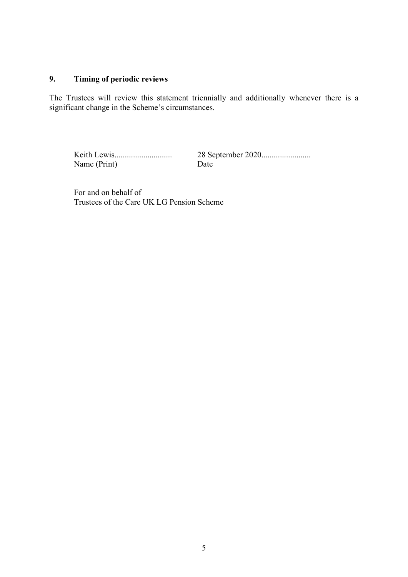#### **9. Timing of periodic reviews**

The Trustees will review this statement triennially and additionally whenever there is a significant change in the Scheme's circumstances.

Keith Lewis............................ 28 September 2020........................ Name (Print) Date

For and on behalf of Trustees of the Care UK LG Pension Scheme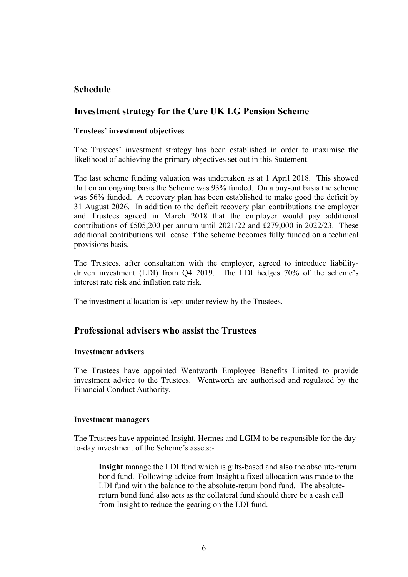## **Schedule**

## **Investment strategy for the Care UK LG Pension Scheme**

### **Trustees' investment objectives**

The Trustees' investment strategy has been established in order to maximise the likelihood of achieving the primary objectives set out in this Statement.

The last scheme funding valuation was undertaken as at 1 April 2018. This showed that on an ongoing basis the Scheme was 93% funded. On a buy-out basis the scheme was 56% funded. A recovery plan has been established to make good the deficit by 31 August 2026. In addition to the deficit recovery plan contributions the employer and Trustees agreed in March 2018 that the employer would pay additional contributions of £505,200 per annum until 2021/22 and £279,000 in 2022/23. These additional contributions will cease if the scheme becomes fully funded on a technical provisions basis.

The Trustees, after consultation with the employer, agreed to introduce liabilitydriven investment (LDI) from Q4 2019. The LDI hedges 70% of the scheme's interest rate risk and inflation rate risk.

The investment allocation is kept under review by the Trustees.

## **Professional advisers who assist the Trustees**

#### **Investment advisers**

The Trustees have appointed Wentworth Employee Benefits Limited to provide investment advice to the Trustees. Wentworth are authorised and regulated by the Financial Conduct Authority.

#### **Investment managers**

The Trustees have appointed Insight, Hermes and LGIM to be responsible for the dayto-day investment of the Scheme's assets:-

**Insight** manage the LDI fund which is gilts-based and also the absolute-return bond fund. Following advice from Insight a fixed allocation was made to the LDI fund with the balance to the absolute-return bond fund. The absolutereturn bond fund also acts as the collateral fund should there be a cash call from Insight to reduce the gearing on the LDI fund.